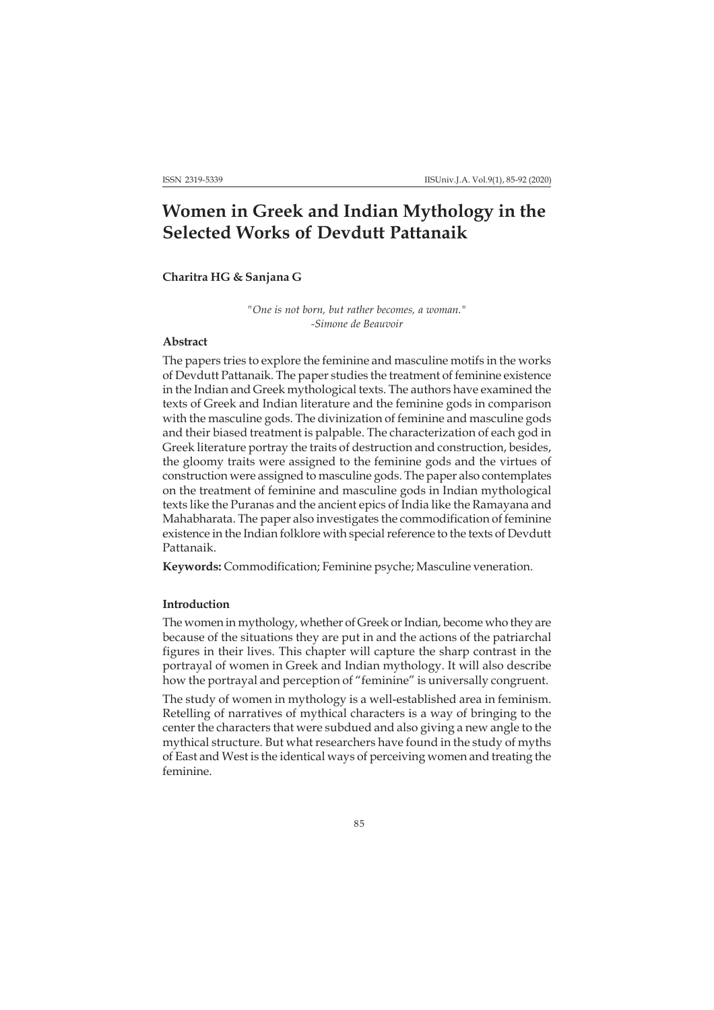# **Women in Greek and Indian Mythology in the Selected Works of Devdutt Pattanaik**

# **Charitra HG & Sanjana G**

*"One is not born, but rather becomes, a woman." -Simone de Beauvoir*

# **Abstract**

The papers tries to explore the feminine and masculine motifs in the works of Devdutt Pattanaik. The paper studies the treatment of feminine existence in the Indian and Greek mythological texts. The authors have examined the texts of Greek and Indian literature and the feminine gods in comparison with the masculine gods. The divinization of feminine and masculine gods and their biased treatment is palpable. The characterization of each god in Greek literature portray the traits of destruction and construction, besides, the gloomy traits were assigned to the feminine gods and the virtues of construction were assigned to masculine gods. The paper also contemplates on the treatment of feminine and masculine gods in Indian mythological texts like the Puranas and the ancient epics of India like the Ramayana and Mahabharata. The paper also investigates the commodification of feminine existence in the Indian folklore with special reference to the texts of Devdutt Pattanaik.

**Keywords:** Commodification; Feminine psyche; Masculine veneration.

## **Introduction**

The women in mythology, whether of Greek or Indian, become who they are because of the situations they are put in and the actions of the patriarchal figures in their lives. This chapter will capture the sharp contrast in the portrayal of women in Greek and Indian mythology. It will also describe how the portrayal and perception of "feminine" is universally congruent.

The study of women in mythology is a well-established area in feminism. Retelling of narratives of mythical characters is a way of bringing to the center the characters that were subdued and also giving a new angle to the mythical structure. But what researchers have found in the study of myths of East and West is the identical ways of perceiving women and treating the feminine.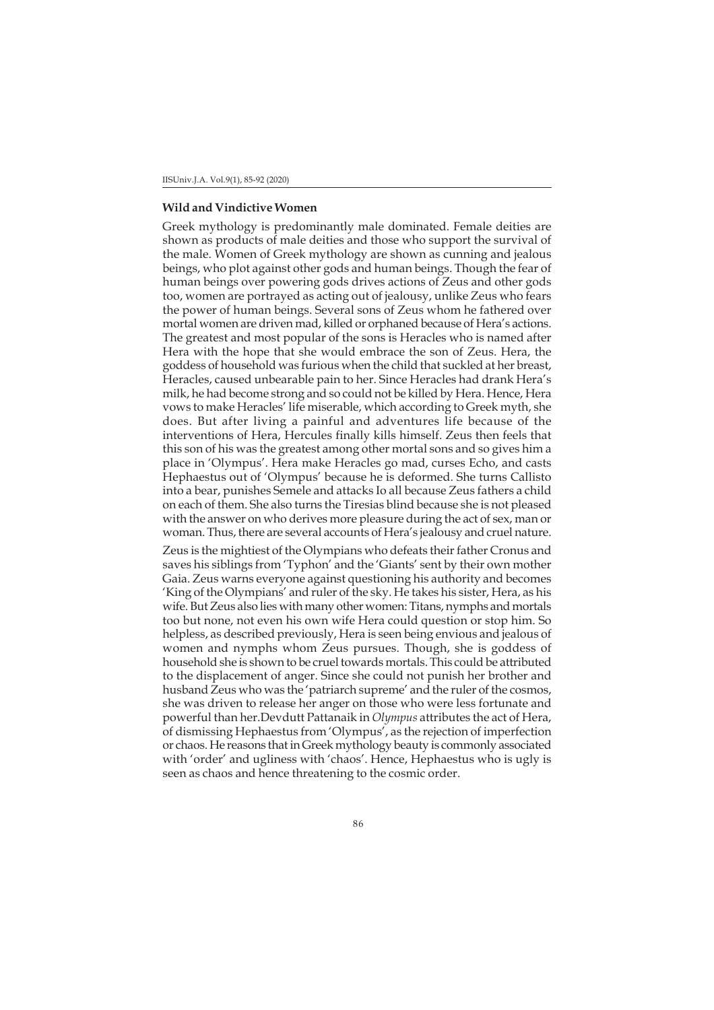#### **Wild and Vindictive Women**

Greek mythology is predominantly male dominated. Female deities are shown as products of male deities and those who support the survival of the male. Women of Greek mythology are shown as cunning and jealous beings, who plot against other gods and human beings. Though the fear of human beings over powering gods drives actions of Zeus and other gods too, women are portrayed as acting out of jealousy, unlike Zeus who fears the power of human beings. Several sons of Zeus whom he fathered over mortal women are driven mad, killed or orphaned because of Hera's actions. The greatest and most popular of the sons is Heracles who is named after Hera with the hope that she would embrace the son of Zeus. Hera, the goddess of household was furious when the child that suckled at her breast, Heracles, caused unbearable pain to her. Since Heracles had drank Hera's milk, he had become strong and so could not be killed by Hera. Hence, Hera vows to make Heracles' life miserable, which according to Greek myth, she does. But after living a painful and adventures life because of the interventions of Hera, Hercules finally kills himself. Zeus then feels that this son of his was the greatest among other mortal sons and so gives him a place in 'Olympus'. Hera make Heracles go mad, curses Echo, and casts Hephaestus out of 'Olympus' because he is deformed. She turns Callisto into a bear, punishes Semele and attacks Io all because Zeus fathers a child on each of them. She also turns the Tiresias blind because she is not pleased with the answer on who derives more pleasure during the act of sex, man or woman. Thus, there are several accounts of Hera's jealousy and cruel nature.

Zeus is the mightiest of the Olympians who defeats their father Cronus and saves his siblings from 'Typhon' and the 'Giants' sent by their own mother Gaia. Zeus warns everyone against questioning his authority and becomes 'King of the Olympians' and ruler of the sky. He takes his sister, Hera, as his wife. But Zeus also lies with many other women: Titans, nymphs and mortals too but none, not even his own wife Hera could question or stop him. So helpless, as described previously, Hera is seen being envious and jealous of women and nymphs whom Zeus pursues. Though, she is goddess of household she is shown to be cruel towards mortals. This could be attributed to the displacement of anger. Since she could not punish her brother and husband Zeus who was the 'patriarch supreme' and the ruler of the cosmos, she was driven to release her anger on those who were less fortunate and powerful than her.Devdutt Pattanaik in *Olympus* attributes the act of Hera, of dismissing Hephaestus from 'Olympus', as the rejection of imperfection or chaos. He reasons that in Greek mythology beauty is commonly associated with 'order' and ugliness with 'chaos'. Hence, Hephaestus who is ugly is seen as chaos and hence threatening to the cosmic order.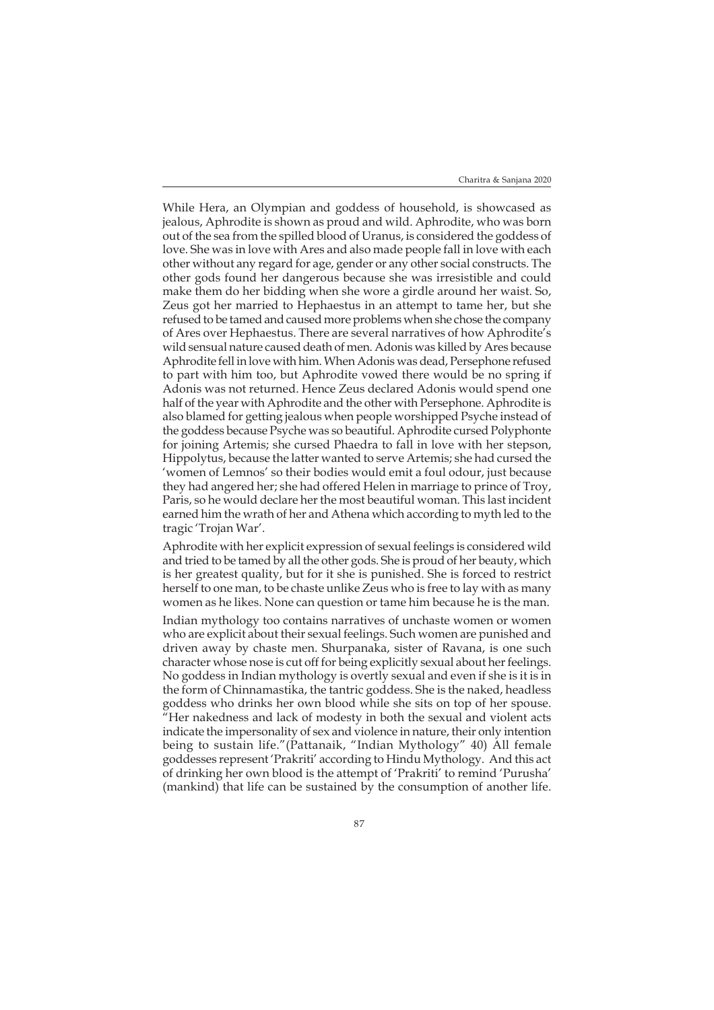While Hera, an Olympian and goddess of household, is showcased as jealous, Aphrodite is shown as proud and wild. Aphrodite, who was born out of the sea from the spilled blood of Uranus, is considered the goddess of love. She was in love with Ares and also made people fall in love with each other without any regard for age, gender or any other social constructs. The other gods found her dangerous because she was irresistible and could make them do her bidding when she wore a girdle around her waist. So, Zeus got her married to Hephaestus in an attempt to tame her, but she refused to be tamed and caused more problems when she chose the company of Ares over Hephaestus. There are several narratives of how Aphrodite's wild sensual nature caused death of men. Adonis was killed by Ares because Aphrodite fell in love with him. When Adonis was dead, Persephone refused to part with him too, but Aphrodite vowed there would be no spring if Adonis was not returned. Hence Zeus declared Adonis would spend one half of the year with Aphrodite and the other with Persephone. Aphrodite is also blamed for getting jealous when people worshipped Psyche instead of the goddess because Psyche was so beautiful. Aphrodite cursed Polyphonte for joining Artemis; she cursed Phaedra to fall in love with her stepson, Hippolytus, because the latter wanted to serve Artemis; she had cursed the 'women of Lemnos' so their bodies would emit a foul odour, just because they had angered her; she had offered Helen in marriage to prince of Troy, Paris, so he would declare her the most beautiful woman. This last incident earned him the wrath of her and Athena which according to myth led to the tragic 'Trojan War'.

Aphrodite with her explicit expression of sexual feelings is considered wild and tried to be tamed by all the other gods. She is proud of her beauty, which is her greatest quality, but for it she is punished. She is forced to restrict herself to one man, to be chaste unlike Zeus who is free to lay with as many women as he likes. None can question or tame him because he is the man.

Indian mythology too contains narratives of unchaste women or women who are explicit about their sexual feelings. Such women are punished and driven away by chaste men. Shurpanaka, sister of Ravana, is one such character whose nose is cut off for being explicitly sexual about her feelings. No goddess in Indian mythology is overtly sexual and even if she is it is in the form of Chinnamastika, the tantric goddess. She is the naked, headless goddess who drinks her own blood while she sits on top of her spouse. "Her nakedness and lack of modesty in both the sexual and violent acts indicate the impersonality of sex and violence in nature, their only intention being to sustain life."(Pattanaik, "Indian Mythology" 40) All female goddesses represent 'Prakriti' according to Hindu Mythology. And this act of drinking her own blood is the attempt of 'Prakriti' to remind 'Purusha' (mankind) that life can be sustained by the consumption of another life.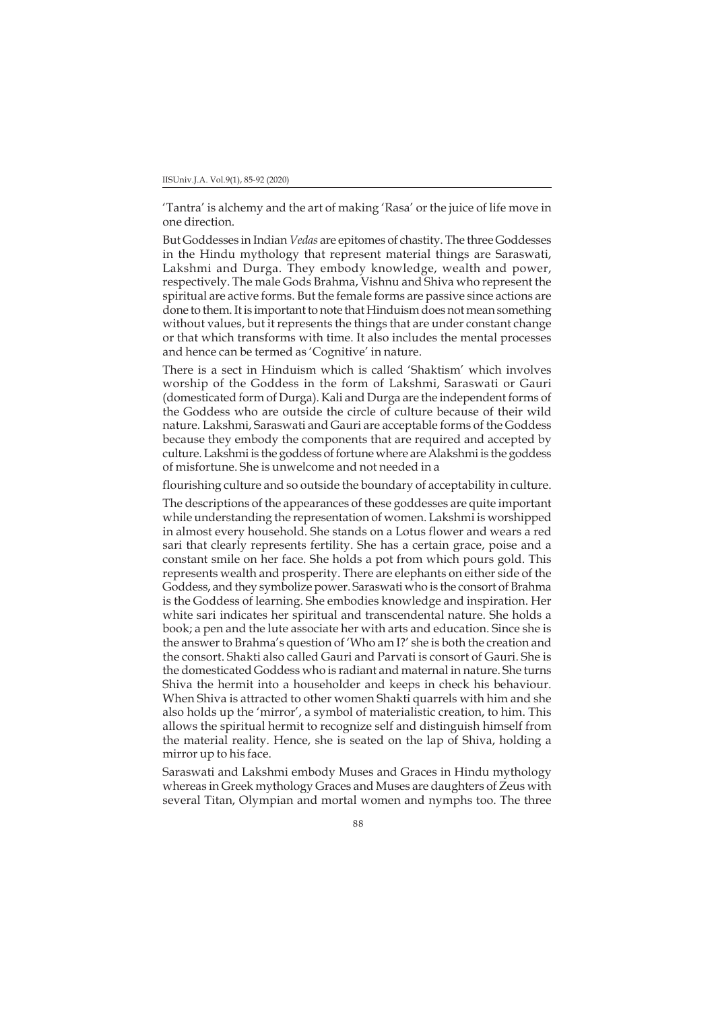'Tantra' is alchemy and the art of making 'Rasa' or the juice of life move in one direction.

But Goddesses in Indian *Vedas* are epitomes of chastity. The three Goddesses in the Hindu mythology that represent material things are Saraswati, Lakshmi and Durga. They embody knowledge, wealth and power, respectively. The male Gods Brahma, Vishnu and Shiva who represent the spiritual are active forms. But the female forms are passive since actions are done to them. It is important to note that Hinduism does not mean something without values, but it represents the things that are under constant change or that which transforms with time. It also includes the mental processes and hence can be termed as 'Cognitive' in nature.

There is a sect in Hinduism which is called 'Shaktism' which involves worship of the Goddess in the form of Lakshmi, Saraswati or Gauri (domesticated form of Durga). Kali and Durga are the independent forms of the Goddess who are outside the circle of culture because of their wild nature. Lakshmi, Saraswati and Gauri are acceptable forms of the Goddess because they embody the components that are required and accepted by culture. Lakshmi is the goddess of fortune where are Alakshmi is the goddess of misfortune. She is unwelcome and not needed in a

flourishing culture and so outside the boundary of acceptability in culture.

The descriptions of the appearances of these goddesses are quite important while understanding the representation of women. Lakshmi is worshipped in almost every household. She stands on a Lotus flower and wears a red sari that clearly represents fertility. She has a certain grace, poise and a constant smile on her face. She holds a pot from which pours gold. This represents wealth and prosperity. There are elephants on either side of the Goddess, and they symbolize power. Saraswati who is the consort of Brahma is the Goddess of learning. She embodies knowledge and inspiration. Her white sari indicates her spiritual and transcendental nature. She holds a book; a pen and the lute associate her with arts and education. Since she is the answer to Brahma's question of 'Who am I?' she is both the creation and the consort. Shakti also called Gauri and Parvati is consort of Gauri. She is the domesticated Goddess who is radiant and maternal in nature. She turns Shiva the hermit into a householder and keeps in check his behaviour. When Shiva is attracted to other women Shakti quarrels with him and she also holds up the 'mirror', a symbol of materialistic creation, to him. This allows the spiritual hermit to recognize self and distinguish himself from the material reality. Hence, she is seated on the lap of Shiva, holding a mirror up to his face.

Saraswati and Lakshmi embody Muses and Graces in Hindu mythology whereas in Greek mythology Graces and Muses are daughters of Zeus with several Titan, Olympian and mortal women and nymphs too. The three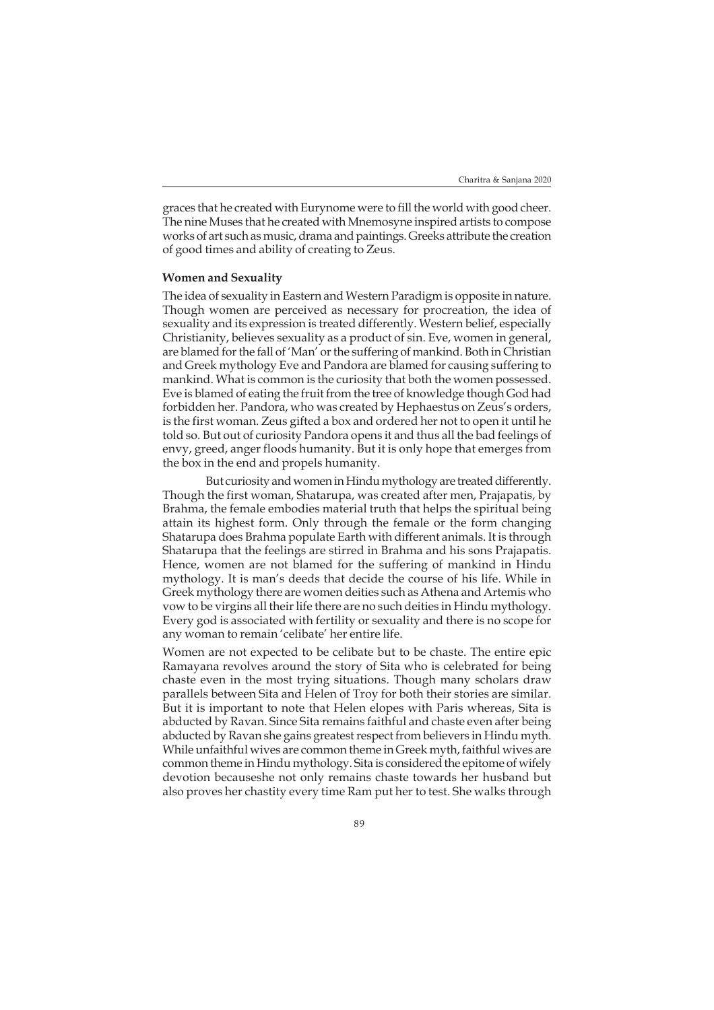graces that he created with Eurynome were to fill the world with good cheer. The nine Muses that he created with Mnemosyne inspired artists to compose works of art such as music, drama and paintings. Greeks attribute the creation of good times and ability of creating to Zeus.

#### **Women and Sexuality**

The idea of sexuality in Eastern and Western Paradigm is opposite in nature. Though women are perceived as necessary for procreation, the idea of sexuality and its expression is treated differently. Western belief, especially Christianity, believes sexuality as a product of sin. Eve, women in general, are blamed for the fall of 'Man' or the suffering of mankind. Both in Christian and Greek mythology Eve and Pandora are blamed for causing suffering to mankind. What is common is the curiosity that both the women possessed. Eve is blamed of eating the fruit from the tree of knowledge though God had forbidden her. Pandora, who was created by Hephaestus on Zeus's orders, is the first woman. Zeus gifted a box and ordered her not to open it until he told so. But out of curiosity Pandora opens it and thus all the bad feelings of envy, greed, anger floods humanity. But it is only hope that emerges from the box in the end and propels humanity.

But curiosity and women in Hindu mythology are treated differently. Though the first woman, Shatarupa, was created after men, Prajapatis, by Brahma, the female embodies material truth that helps the spiritual being attain its highest form. Only through the female or the form changing Shatarupa does Brahma populate Earth with different animals. It is through Shatarupa that the feelings are stirred in Brahma and his sons Prajapatis. Hence, women are not blamed for the suffering of mankind in Hindu mythology. It is man's deeds that decide the course of his life. While in Greek mythology there are women deities such as Athena and Artemis who vow to be virgins all their life there are no such deities in Hindu mythology. Every god is associated with fertility or sexuality and there is no scope for any woman to remain 'celibate' her entire life.

Women are not expected to be celibate but to be chaste. The entire epic Ramayana revolves around the story of Sita who is celebrated for being chaste even in the most trying situations. Though many scholars draw parallels between Sita and Helen of Troy for both their stories are similar. But it is important to note that Helen elopes with Paris whereas, Sita is abducted by Ravan. Since Sita remains faithful and chaste even after being abducted by Ravan she gains greatest respect from believers in Hindu myth. While unfaithful wives are common theme in Greek myth, faithful wives are common theme in Hindu mythology. Sita is considered the epitome of wifely devotion becauseshe not only remains chaste towards her husband but also proves her chastity every time Ram put her to test. She walks through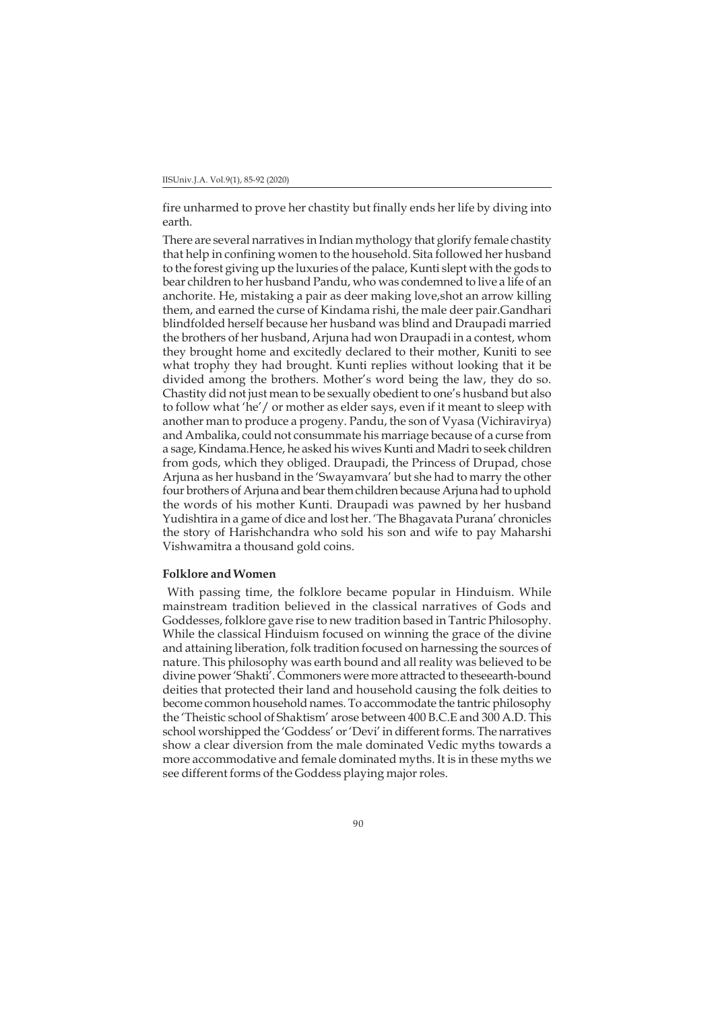fire unharmed to prove her chastity but finally ends her life by diving into earth.

There are several narratives in Indian mythology that glorify female chastity that help in confining women to the household. Sita followed her husband to the forest giving up the luxuries of the palace, Kunti slept with the gods to bear children to her husband Pandu, who was condemned to live a life of an anchorite. He, mistaking a pair as deer making love,shot an arrow killing them, and earned the curse of Kindama rishi, the male deer pair.Gandhari blindfolded herself because her husband was blind and Draupadi married the brothers of her husband, Arjuna had won Draupadi in a contest, whom they brought home and excitedly declared to their mother, Kuniti to see what trophy they had brought. Kunti replies without looking that it be divided among the brothers. Mother's word being the law, they do so. Chastity did not just mean to be sexually obedient to one's husband but also to follow what 'he'/ or mother as elder says, even if it meant to sleep with another man to produce a progeny. Pandu, the son of Vyasa (Vichiravirya) and Ambalika, could not consummate his marriage because of a curse from a sage, Kindama.Hence, he asked his wives Kunti and Madri to seek children from gods, which they obliged. Draupadi, the Princess of Drupad, chose Arjuna as her husband in the 'Swayamvara' but she had to marry the other four brothers of Arjuna and bear them children because Arjuna had to uphold the words of his mother Kunti. Draupadi was pawned by her husband Yudishtira in a game of dice and lost her. 'The Bhagavata Purana' chronicles the story of Harishchandra who sold his son and wife to pay Maharshi Vishwamitra a thousand gold coins.

## **Folklore and Women**

 With passing time, the folklore became popular in Hinduism. While mainstream tradition believed in the classical narratives of Gods and Goddesses, folklore gave rise to new tradition based in Tantric Philosophy. While the classical Hinduism focused on winning the grace of the divine and attaining liberation, folk tradition focused on harnessing the sources of nature. This philosophy was earth bound and all reality was believed to be divine power 'Shakti'. Commoners were more attracted to theseearth-bound deities that protected their land and household causing the folk deities to become common household names. To accommodate the tantric philosophy the 'Theistic school of Shaktism' arose between 400 B.C.E and 300 A.D. This school worshipped the 'Goddess' or 'Devi' in different forms. The narratives show a clear diversion from the male dominated Vedic myths towards a more accommodative and female dominated myths. It is in these myths we see different forms of the Goddess playing major roles.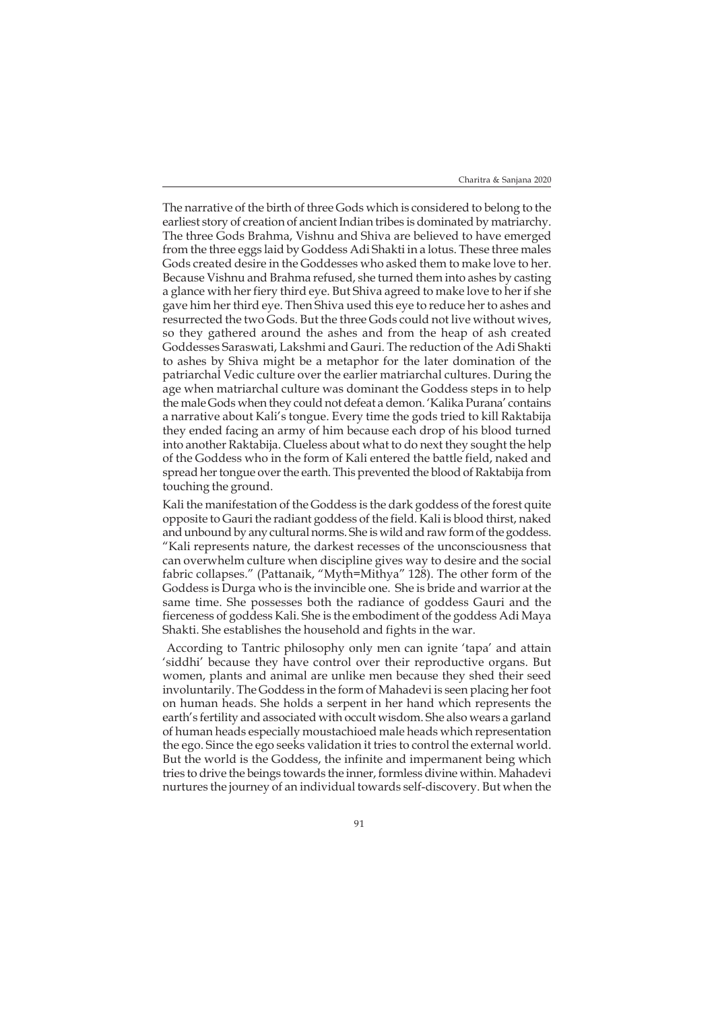The narrative of the birth of three Gods which is considered to belong to the earliest story of creation of ancient Indian tribes is dominated by matriarchy. The three Gods Brahma, Vishnu and Shiva are believed to have emerged from the three eggs laid by Goddess Adi Shakti in a lotus. These three males Gods created desire in the Goddesses who asked them to make love to her. Because Vishnu and Brahma refused, she turned them into ashes by casting a glance with her fiery third eye. But Shiva agreed to make love to her if she gave him her third eye. Then Shiva used this eye to reduce her to ashes and resurrected the two Gods. But the three Gods could not live without wives, so they gathered around the ashes and from the heap of ash created Goddesses Saraswati, Lakshmi and Gauri. The reduction of the Adi Shakti to ashes by Shiva might be a metaphor for the later domination of the patriarchal Vedic culture over the earlier matriarchal cultures. During the age when matriarchal culture was dominant the Goddess steps in to help the male Gods when they could not defeat a demon. 'Kalika Purana' contains a narrative about Kali's tongue. Every time the gods tried to kill Raktabija they ended facing an army of him because each drop of his blood turned into another Raktabija. Clueless about what to do next they sought the help of the Goddess who in the form of Kali entered the battle field, naked and spread her tongue over the earth. This prevented the blood of Raktabija from touching the ground.

Kali the manifestation of the Goddess is the dark goddess of the forest quite opposite to Gauri the radiant goddess of the field. Kali is blood thirst, naked and unbound by any cultural norms. She is wild and raw form of the goddess. "Kali represents nature, the darkest recesses of the unconsciousness that can overwhelm culture when discipline gives way to desire and the social fabric collapses." (Pattanaik, "Myth=Mithya" 128). The other form of the Goddess is Durga who is the invincible one. She is bride and warrior at the same time. She possesses both the radiance of goddess Gauri and the fierceness of goddess Kali. She is the embodiment of the goddess Adi Maya Shakti. She establishes the household and fights in the war.

 According to Tantric philosophy only men can ignite 'tapa' and attain 'siddhi' because they have control over their reproductive organs. But women, plants and animal are unlike men because they shed their seed involuntarily. The Goddess in the form of Mahadevi is seen placing her foot on human heads. She holds a serpent in her hand which represents the earth's fertility and associated with occult wisdom. She also wears a garland of human heads especially moustachioed male heads which representation the ego. Since the ego seeks validation it tries to control the external world. But the world is the Goddess, the infinite and impermanent being which tries to drive the beings towards the inner, formless divine within. Mahadevi nurtures the journey of an individual towards self-discovery. But when the